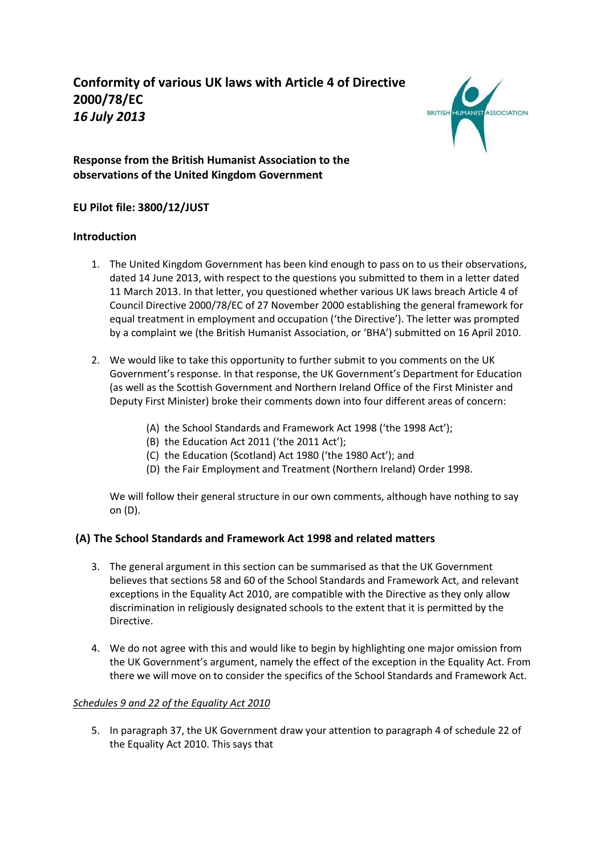

# **Response from the British Humanist Association to the observations of the United Kingdom Government**

# **EU Pilot file: 3800/12/JUST**

### **Introduction**

- 1. The United Kingdom Government has been kind enough to pass on to us their observations, dated 14 June 2013, with respect to the questions you submitted to them in a letter dated 11 March 2013. In that letter, you questioned whether various UK laws breach Article 4 of Council Directive 2000/78/EC of 27 November 2000 establishing the general framework for equal treatment in employment and occupation ('the Directive'). The letter was prompted by a complaint we (the British Humanist Association, or 'BHA') submitted on 16 April 2010.
- 2. We would like to take this opportunity to further submit to you comments on the UK Government's response. In that response, the UK Government's Department for Education (as well as the Scottish Government and Northern Ireland Office of the First Minister and Deputy First Minister) broke their comments down into four different areas of concern:
	- (A) the School Standards and Framework Act 1998 ('the 1998 Act');
	- (B) the Education Act 2011 ('the 2011 Act');
	- (C) the Education (Scotland) Act 1980 ('the 1980 Act'); and
	- (D) the Fair Employment and Treatment (Northern Ireland) Order 1998.

We will follow their general structure in our own comments, although have nothing to say on (D).

# **(A) The School Standards and Framework Act 1998 and related matters**

- 3. The general argument in this section can be summarised as that the UK Government believes that sections 58 and 60 of the School Standards and Framework Act, and relevant exceptions in the Equality Act 2010, are compatible with the Directive as they only allow discrimination in religiously designated schools to the extent that it is permitted by the Directive.
- 4. We do not agree with this and would like to begin by highlighting one major omission from the UK Government's argument, namely the effect of the exception in the Equality Act. From there we will move on to consider the specifics of the School Standards and Framework Act.

### *Schedules 9 and 22 of the Equality Act 2010*

5. In paragraph 37, the UK Government draw your attention to paragraph 4 of schedule 22 of the Equality Act 2010. This says that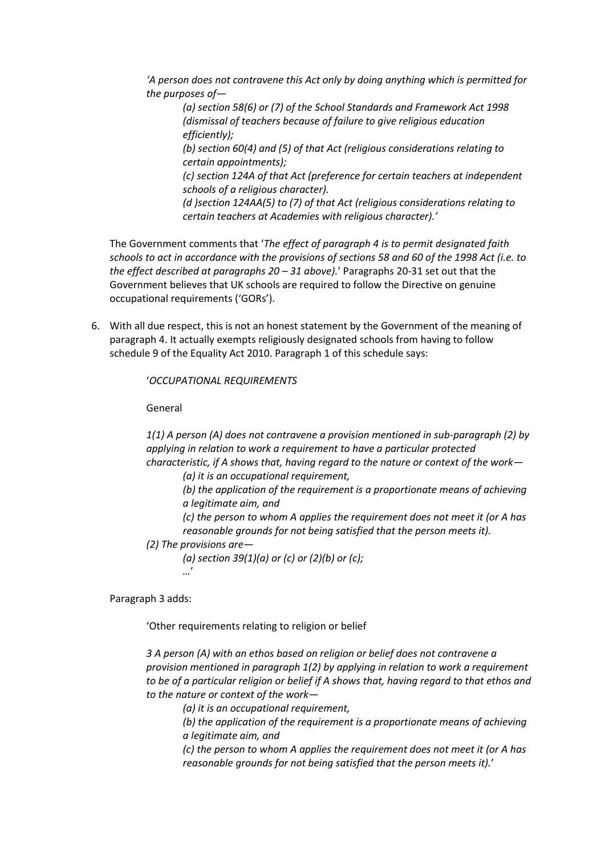*'A person does not contravene this Act only by doing anything which is permitted for the purposes of—*

*(a) section 58(6) or (7) of the School Standards and Framework Act 1998 (dismissal of teachers because of failure to give religious education efficiently);*

*(b) section 60(4) and (5) of that Act (religious considerations relating to certain appointments);*

*(c) section 124A of that Act (preference for certain teachers at independent schools of a religious character).*

*(d )section 124AA(5) to (7) of that Act (religious considerations relating to certain teachers at Academies with religious character).'*

The Government comments that '*The effect of paragraph 4 is to permit designated faith schools to act in accordance with the provisions of sections 58 and 60 of the 1998 Act (i.e. to the effect described at paragraphs 20 – 31 above).*' Paragraphs 20-31 set out that the Government believes that UK schools are required to follow the Directive on genuine occupational requirements ('GORs').

6. With all due respect, this is not an honest statement by the Government of the meaning of paragraph 4. It actually exempts religiously designated schools from having to follow schedule 9 of the Equality Act 2010. Paragraph 1 of this schedule says:

'*OCCUPATIONAL REQUIREMENTS*

General

*1(1) A person (A) does not contravene a provision mentioned in sub-paragraph (2) by applying in relation to work a requirement to have a particular protected characteristic, if A shows that, having regard to the nature or context of the work—*

*(a) it is an occupational requirement,*

*(b) the application of the requirement is a proportionate means of achieving a legitimate aim, and*

*(c) the person to whom A applies the requirement does not meet it (or A has reasonable grounds for not being satisfied that the person meets it).*

*(2) The provisions are—*

*(a) section 39(1)(a) or (c) or (2)(b) or (c); …*'

Paragraph 3 adds:

'Other requirements relating to religion or belief

*3 A person (A) with an ethos based on religion or belief does not contravene a provision mentioned in paragraph 1(2) by applying in relation to work a requirement to be of a particular religion or belief if A shows that, having regard to that ethos and to the nature or context of the work—*

*(a) it is an occupational requirement,*

*(b) the application of the requirement is a proportionate means of achieving a legitimate aim, and*

*(c) the person to whom A applies the requirement does not meet it (or A has reasonable grounds for not being satisfied that the person meets it).*'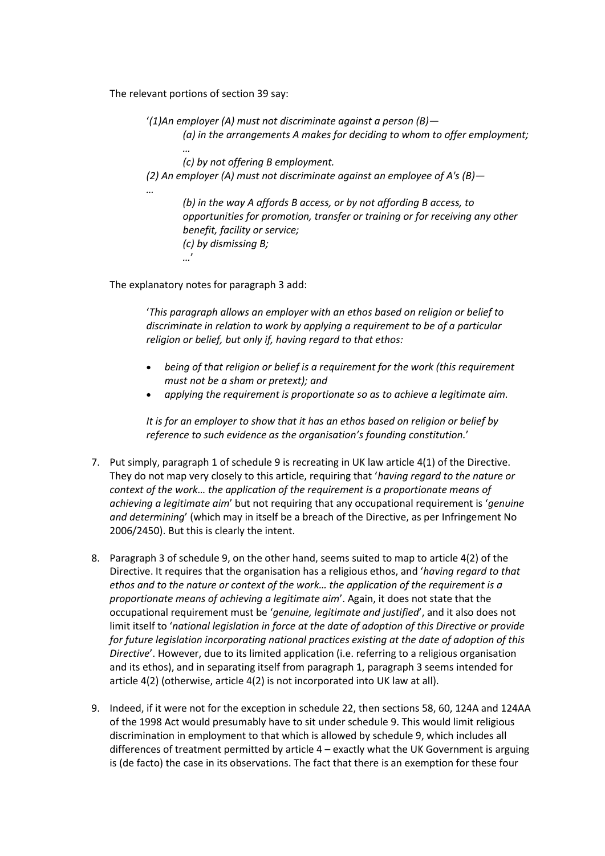The relevant portions of section 39 say:

'*(1)An employer (A) must not discriminate against a person (B)— (a) in the arrangements A makes for deciding to whom to offer employment;* 

*… (c) by not offering B employment. (2) An employer (A) must not discriminate against an employee of A's (B)— …*

*(b) in the way A affords B access, or by not affording B access, to opportunities for promotion, transfer or training or for receiving any other benefit, facility or service; (c) by dismissing B; …*'

The explanatory notes for paragraph 3 add:

'*This paragraph allows an employer with an ethos based on religion or belief to discriminate in relation to work by applying a requirement to be of a particular religion or belief, but only if, having regard to that ethos:*

- *being of that religion or belief is a requirement for the work (this requirement must not be a sham or pretext); and*
- *applying the requirement is proportionate so as to achieve a legitimate aim.*

*It is for an employer to show that it has an ethos based on religion or belief by reference to such evidence as the organisation's founding constitution.*'

- 7. Put simply, paragraph 1 of schedule 9 is recreating in UK law article 4(1) of the Directive. They do not map very closely to this article, requiring that '*having regard to the nature or context of the work… the application of the requirement is a proportionate means of achieving a legitimate aim*' but not requiring that any occupational requirement is '*genuine and determining*' (which may in itself be a breach of the Directive, as per Infringement No 2006/2450). But this is clearly the intent.
- 8. Paragraph 3 of schedule 9, on the other hand, seems suited to map to article 4(2) of the Directive. It requires that the organisation has a religious ethos, and '*having regard to that ethos and to the nature or context of the work… the application of the requirement is a proportionate means of achieving a legitimate aim*'. Again, it does not state that the occupational requirement must be '*genuine, legitimate and justified*', and it also does not limit itself to '*national legislation in force at the date of adoption of this Directive or provide for future legislation incorporating national practices existing at the date of adoption of this Directive*'. However, due to its limited application (i.e. referring to a religious organisation and its ethos), and in separating itself from paragraph 1, paragraph 3 seems intended for article 4(2) (otherwise, article 4(2) is not incorporated into UK law at all).
- 9. Indeed, if it were not for the exception in schedule 22, then sections 58, 60, 124A and 124AA of the 1998 Act would presumably have to sit under schedule 9. This would limit religious discrimination in employment to that which is allowed by schedule 9, which includes all differences of treatment permitted by article  $4$  – exactly what the UK Government is arguing is (de facto) the case in its observations. The fact that there is an exemption for these four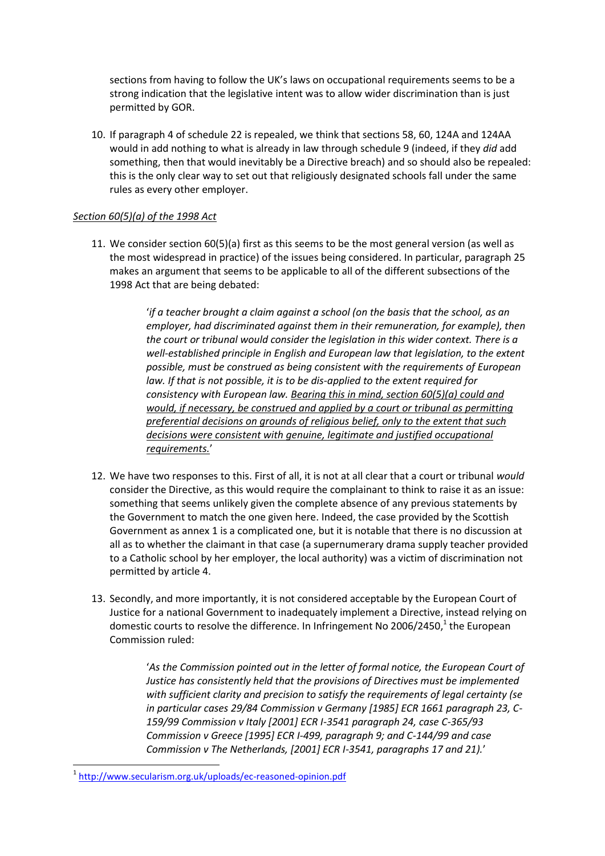sections from having to follow the UK's laws on occupational requirements seems to be a strong indication that the legislative intent was to allow wider discrimination than is just permitted by GOR.

10. If paragraph 4 of schedule 22 is repealed, we think that sections 58, 60, 124A and 124AA would in add nothing to what is already in law through schedule 9 (indeed, if they *did* add something, then that would inevitably be a Directive breach) and so should also be repealed: this is the only clear way to set out that religiously designated schools fall under the same rules as every other employer.

#### *Section 60(5)(a) of the 1998 Act*

11. We consider section 60(5)(a) first as this seems to be the most general version (as well as the most widespread in practice) of the issues being considered. In particular, paragraph 25 makes an argument that seems to be applicable to all of the different subsections of the 1998 Act that are being debated:

> '*if a teacher brought a claim against a school (on the basis that the school, as an employer, had discriminated against them in their remuneration, for example), then the court or tribunal would consider the legislation in this wider context. There is a well-established principle in English and European law that legislation, to the extent possible, must be construed as being consistent with the requirements of European law. If that is not possible, it is to be dis-applied to the extent required for consistency with European law. Bearing this in mind, section 60(5)(a) could and would, if necessary, be construed and applied by a court or tribunal as permitting preferential decisions on grounds of religious belief, only to the extent that such decisions were consistent with genuine, legitimate and justified occupational requirements.*'

- 12. We have two responses to this. First of all, it is not at all clear that a court or tribunal *would* consider the Directive, as this would require the complainant to think to raise it as an issue: something that seems unlikely given the complete absence of any previous statements by the Government to match the one given here. Indeed, the case provided by the Scottish Government as annex 1 is a complicated one, but it is notable that there is no discussion at all as to whether the claimant in that case (a supernumerary drama supply teacher provided to a Catholic school by her employer, the local authority) was a victim of discrimination not permitted by article 4.
- 13. Secondly, and more importantly, it is not considered acceptable by the European Court of Justice for a national Government to inadequately implement a Directive, instead relying on domestic courts to resolve the difference. In Infringement No 2006/2450,<sup>1</sup> the European Commission ruled:

'As the Commission pointed out in the letter of formal notice, the European Court of *Justice has consistently held that the provisions of Directives must be implemented with sufficient clarity and precision to satisfy the requirements of legal certainty (se in particular cases 29/84 Commission v Germany [1985] ECR 1661 paragraph 23, C-159/99 Commission v Italy [2001] ECR I-3541 paragraph 24, case C-365/93 Commission v Greece [1995] ECR I-499, paragraph 9; and C-144/99 and case Commission v The Netherlands, [2001] ECR I-3541, paragraphs 17 and 21).*'

**.** 

<sup>&</sup>lt;sup>1</sup> <http://www.secularism.org.uk/uploads/ec-reasoned-opinion.pdf>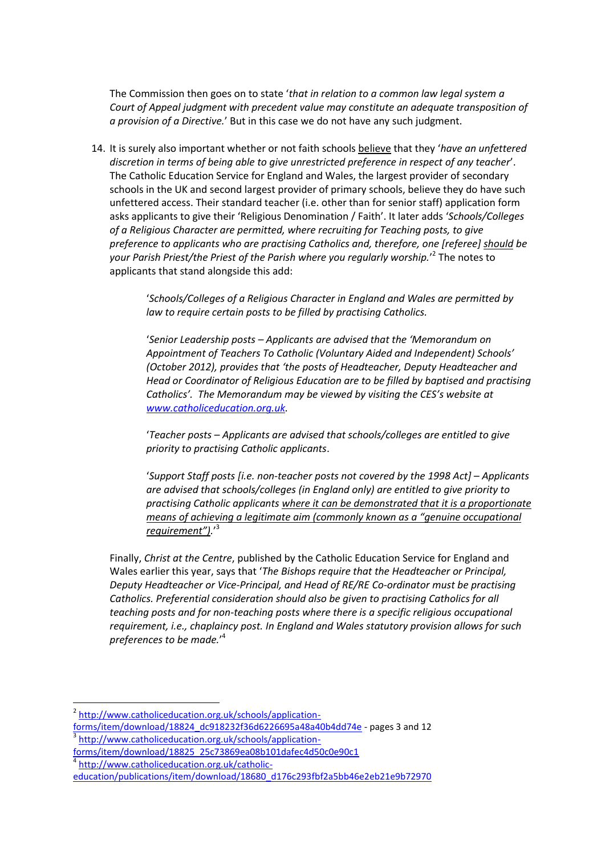The Commission then goes on to state '*that in relation to a common law legal system a Court of Appeal judgment with precedent value may constitute an adequate transposition of a provision of a Directive.*' But in this case we do not have any such judgment.

14. It is surely also important whether or not faith schools believe that they '*have an unfettered discretion in terms of being able to give unrestricted preference in respect of any teacher*'. The Catholic Education Service for England and Wales, the largest provider of secondary schools in the UK and second largest provider of primary schools, believe they do have such unfettered access. Their standard teacher (i.e. other than for senior staff) application form asks applicants to give their 'Religious Denomination / Faith'. It later adds '*Schools/Colleges of a Religious Character are permitted, where recruiting for Teaching posts, to give preference to applicants who are practising Catholics and, therefore, one [referee] should be your Parish Priest/the Priest of the Parish where you regularly worship.*' 2 The notes to applicants that stand alongside this add:

> '*Schools/Colleges of a Religious Character in England and Wales are permitted by law to require certain posts to be filled by practising Catholics.*

'*Senior Leadership posts – Applicants are advised that the 'Memorandum on Appointment of Teachers To Catholic (Voluntary Aided and Independent) Schools' (October 2012), provides that 'the posts of Headteacher, Deputy Headteacher and Head or Coordinator of Religious Education are to be filled by baptised and practising Catholics'. The Memorandum may be viewed by visiting the CES's website at [www.catholiceducation.org.uk.](http://www.catholiceducation.org.uk/)*

'*Teacher posts – Applicants are advised that schools/colleges are entitled to give priority to practising Catholic applicants*.

'*Support Staff posts [i.e. non-teacher posts not covered by the 1998 Act] – Applicants are advised that schools/colleges (in England only) are entitled to give priority to practising Catholic applicants where it can be demonstrated that it is a proportionate means of achieving a legitimate aim (commonly known as a "genuine occupational requirement").*' 3

Finally, *Christ at the Centre*, published by the Catholic Education Service for England and Wales earlier this year, says that '*The Bishops require that the Headteacher or Principal, Deputy Headteacher or Vice-Principal, and Head of RE/RE Co-ordinator must be practising Catholics. Preferential consideration should also be given to practising Catholics for all teaching posts and for non-teaching posts where there is a specific religious occupational requirement, i.e., chaplaincy post. In England and Wales statutory provision allows for such preferences to be made.*' 4

4 [http://www.catholiceducation.org.uk/catholic-](http://www.catholiceducation.org.uk/catholic-education/publications/item/download/18680_d176c293fbf2a5bb46e2eb21e9b72970)

**<sup>.</sup>** <sup>2</sup> [http://www.catholiceducation.org.uk/schools/application](http://www.catholiceducation.org.uk/schools/application-forms/item/download/18824_dc918232f36d6226695a48a40b4dd74e)[forms/item/download/18824\\_dc918232f36d6226695a48a40b4dd74e](http://www.catholiceducation.org.uk/schools/application-forms/item/download/18824_dc918232f36d6226695a48a40b4dd74e) - pages 3 and 12 <sup>3</sup> [http://www.catholiceducation.org.uk/schools/application-](http://www.catholiceducation.org.uk/schools/application-forms/item/download/18825_25c73869ea08b101dafec4d50c0e90c1)

[forms/item/download/18825\\_25c73869ea08b101dafec4d50c0e90c1](http://www.catholiceducation.org.uk/schools/application-forms/item/download/18825_25c73869ea08b101dafec4d50c0e90c1)

[education/publications/item/download/18680\\_d176c293fbf2a5bb46e2eb21e9b72970](http://www.catholiceducation.org.uk/catholic-education/publications/item/download/18680_d176c293fbf2a5bb46e2eb21e9b72970)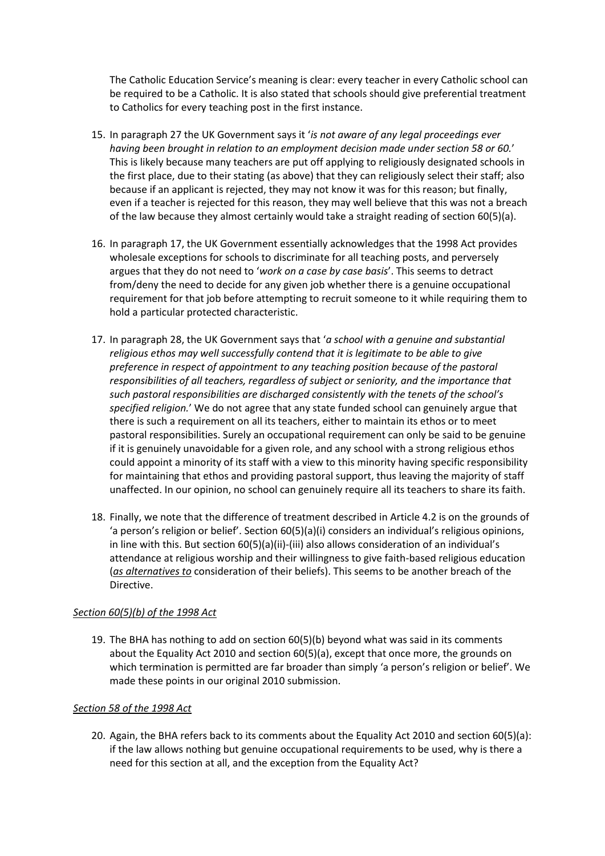The Catholic Education Service's meaning is clear: every teacher in every Catholic school can be required to be a Catholic. It is also stated that schools should give preferential treatment to Catholics for every teaching post in the first instance.

- 15. In paragraph 27 the UK Government says it '*is not aware of any legal proceedings ever having been brought in relation to an employment decision made under section 58 or 60.*' This is likely because many teachers are put off applying to religiously designated schools in the first place, due to their stating (as above) that they can religiously select their staff; also because if an applicant is rejected, they may not know it was for this reason; but finally, even if a teacher is rejected for this reason, they may well believe that this was not a breach of the law because they almost certainly would take a straight reading of section 60(5)(a).
- 16. In paragraph 17, the UK Government essentially acknowledges that the 1998 Act provides wholesale exceptions for schools to discriminate for all teaching posts, and perversely argues that they do not need to '*work on a case by case basis*'. This seems to detract from/deny the need to decide for any given job whether there is a genuine occupational requirement for that job before attempting to recruit someone to it while requiring them to hold a particular protected characteristic.
- 17. In paragraph 28, the UK Government says that '*a school with a genuine and substantial religious ethos may well successfully contend that it is legitimate to be able to give preference in respect of appointment to any teaching position because of the pastoral responsibilities of all teachers, regardless of subject or seniority, and the importance that such pastoral responsibilities are discharged consistently with the tenets of the school's specified religion.*' We do not agree that any state funded school can genuinely argue that there is such a requirement on all its teachers, either to maintain its ethos or to meet pastoral responsibilities. Surely an occupational requirement can only be said to be genuine if it is genuinely unavoidable for a given role, and any school with a strong religious ethos could appoint a minority of its staff with a view to this minority having specific responsibility for maintaining that ethos and providing pastoral support, thus leaving the majority of staff unaffected. In our opinion, no school can genuinely require all its teachers to share its faith.
- 18. Finally, we note that the difference of treatment described in Article 4.2 is on the grounds of 'a person's religion or belief'. Section 60(5)(a)(i) considers an individual's religious opinions, in line with this. But section 60(5)(a)(ii)-(iii) also allows consideration of an individual's attendance at religious worship and their willingness to give faith-based religious education (*as alternatives to* consideration of their beliefs). This seems to be another breach of the Directive.

### *Section 60(5)(b) of the 1998 Act*

19. The BHA has nothing to add on section 60(5)(b) beyond what was said in its comments about the Equality Act 2010 and section 60(5)(a), except that once more, the grounds on which termination is permitted are far broader than simply 'a person's religion or belief'. We made these points in our original 2010 submission.

#### *Section 58 of the 1998 Act*

20. Again, the BHA refers back to its comments about the Equality Act 2010 and section 60(5)(a): if the law allows nothing but genuine occupational requirements to be used, why is there a need for this section at all, and the exception from the Equality Act?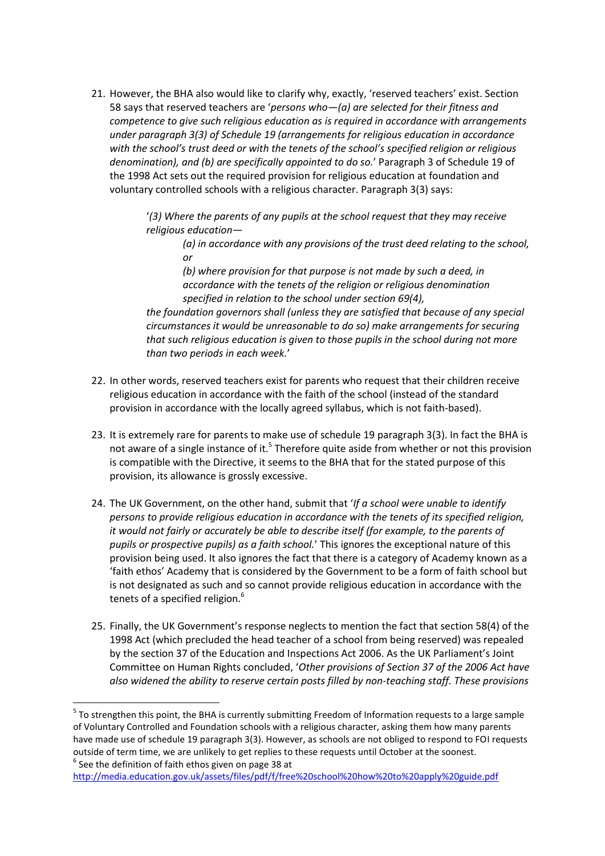21. However, the BHA also would like to clarify why, exactly, 'reserved teachers' exist. Section 58 says that reserved teachers are '*persons who—(a) are selected for their fitness and competence to give such religious education as is required in accordance with arrangements under paragraph 3(3) of Schedule 19 (arrangements for religious education in accordance with the school's trust deed or with the tenets of the school's specified religion or religious denomination), and (b) are specifically appointed to do so.*' Paragraph 3 of Schedule 19 of the 1998 Act sets out the required provision for religious education at foundation and voluntary controlled schools with a religious character. Paragraph 3(3) says:

> '*(3) Where the parents of any pupils at the school request that they may receive religious education—*

*(a) in accordance with any provisions of the trust deed relating to the school, or*

*(b) where provision for that purpose is not made by such a deed, in accordance with the tenets of the religion or religious denomination specified in relation to the school under section 69(4),*

*the foundation governors shall (unless they are satisfied that because of any special circumstances it would be unreasonable to do so) make arrangements for securing that such religious education is given to those pupils in the school during not more than two periods in each week.*'

- 22. In other words, reserved teachers exist for parents who request that their children receive religious education in accordance with the faith of the school (instead of the standard provision in accordance with the locally agreed syllabus, which is not faith-based).
- 23. It is extremely rare for parents to make use of schedule 19 paragraph 3(3). In fact the BHA is not aware of a single instance of it.<sup>5</sup> Therefore quite aside from whether or not this provision is compatible with the Directive, it seems to the BHA that for the stated purpose of this provision, its allowance is grossly excessive.
- 24. The UK Government, on the other hand, submit that '*If a school were unable to identify persons to provide religious education in accordance with the tenets of its specified religion, it would not fairly or accurately be able to describe itself (for example, to the parents of pupils or prospective pupils) as a faith school.*' This ignores the exceptional nature of this provision being used. It also ignores the fact that there is a category of Academy known as a 'faith ethos' Academy that is considered by the Government to be a form of faith school but is not designated as such and so cannot provide religious education in accordance with the tenets of a specified religion.<sup>6</sup>
- 25. Finally, the UK Government's response neglects to mention the fact that section 58(4) of the 1998 Act (which precluded the head teacher of a school from being reserved) was repealed by the section 37 of the Education and Inspections Act 2006. As the UK Parliament's Joint Committee on Human Rights concluded, '*Other provisions of Section 37 of the 2006 Act have also widened the ability to reserve certain posts filled by non-teaching staff. These provisions*

**.** 

<sup>&</sup>lt;sup>5</sup> To strengthen this point, the BHA is currently submitting Freedom of Information requests to a large sample of Voluntary Controlled and Foundation schools with a religious character, asking them how many parents have made use of schedule 19 paragraph 3(3). However, as schools are not obliged to respond to FOI requests outside of term time, we are unlikely to get replies to these requests until October at the soonest.  $^6$  See the definition of faith ethos given on page 38 at

<http://media.education.gov.uk/assets/files/pdf/f/free%20school%20how%20to%20apply%20guide.pdf>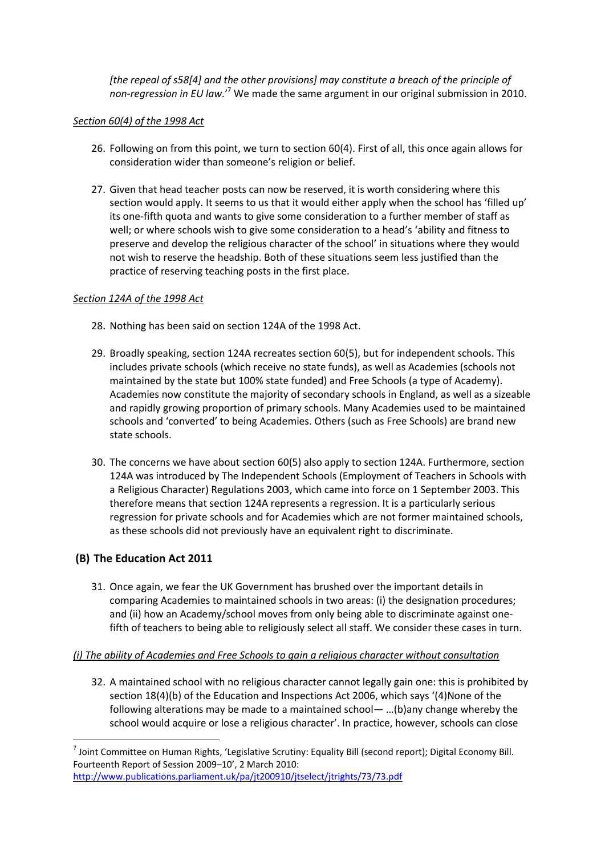*[the repeal of s58[4] and the other provisions] may constitute a breach of the principle of non-regression in EU law.*' <sup>7</sup> We made the same argument in our original submission in 2010.

### *Section 60(4) of the 1998 Act*

- 26. Following on from this point, we turn to section 60(4). First of all, this once again allows for consideration wider than someone's religion or belief.
- 27. Given that head teacher posts can now be reserved, it is worth considering where this section would apply. It seems to us that it would either apply when the school has 'filled up' its one-fifth quota and wants to give some consideration to a further member of staff as well; or where schools wish to give some consideration to a head's 'ability and fitness to preserve and develop the religious character of the school' in situations where they would not wish to reserve the headship. Both of these situations seem less justified than the practice of reserving teaching posts in the first place.

#### *Section 124A of the 1998 Act*

- 28. Nothing has been said on section 124A of the 1998 Act.
- 29. Broadly speaking, section 124A recreates section 60(5), but for independent schools. This includes private schools (which receive no state funds), as well as Academies (schools not maintained by the state but 100% state funded) and Free Schools (a type of Academy). Academies now constitute the majority of secondary schools in England, as well as a sizeable and rapidly growing proportion of primary schools. Many Academies used to be maintained schools and 'converted' to being Academies. Others (such as Free Schools) are brand new state schools.
- 30. The concerns we have about section 60(5) also apply to section 124A. Furthermore, section 124A was introduced by The Independent Schools (Employment of Teachers in Schools with a Religious Character) Regulations 2003, which came into force on 1 September 2003. This therefore means that section 124A represents a regression. It is a particularly serious regression for private schools and for Academies which are not former maintained schools, as these schools did not previously have an equivalent right to discriminate.

# **(B) The Education Act 2011**

**.** 

31. Once again, we fear the UK Government has brushed over the important details in comparing Academies to maintained schools in two areas: (i) the designation procedures; and (ii) how an Academy/school moves from only being able to discriminate against onefifth of teachers to being able to religiously select all staff. We consider these cases in turn.

### *(i) The ability of Academies and Free Schools to gain a religious character without consultation*

32. A maintained school with no religious character cannot legally gain one: this is prohibited by section 18(4)(b) of the Education and Inspections Act 2006, which says '(4)None of the following alterations may be made to a maintained school— …(b)any change whereby the school would acquire or lose a religious character'. In practice, however, schools can close

 $^7$  Joint Committee on Human Rights, 'Legislative Scrutiny: Equality Bill (second report); Digital Economy Bill. Fourteenth Report of Session 2009–10', 2 March 2010: <http://www.publications.parliament.uk/pa/jt200910/jtselect/jtrights/73/73.pdf>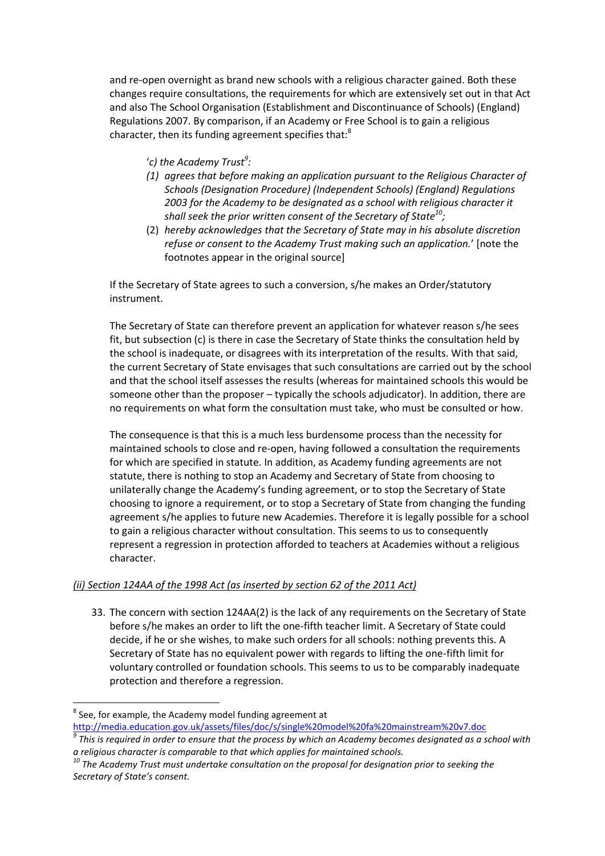and re-open overnight as brand new schools with a religious character gained. Both these changes require consultations, the requirements for which are extensively set out in that Act and also The School Organisation (Establishment and Discontinuance of Schools) (England) Regulations 2007. By comparison, if an Academy or Free School is to gain a religious character, then its funding agreement specifies that:<sup>8</sup>

- '*c) the Academy Trust<sup>9</sup> :*
- *(1) agrees that before making an application pursuant to the Religious Character of Schools (Designation Procedure) (Independent Schools) (England) Regulations 2003 for the Academy to be designated as a school with religious character it shall seek the prior written consent of the Secretary of State<sup>10</sup> ;*
- (2) *hereby acknowledges that the Secretary of State may in his absolute discretion refuse or consent to the Academy Trust making such an application.*' [note the footnotes appear in the original source]

If the Secretary of State agrees to such a conversion, s/he makes an Order/statutory instrument.

The Secretary of State can therefore prevent an application for whatever reason s/he sees fit, but subsection (c) is there in case the Secretary of State thinks the consultation held by the school is inadequate, or disagrees with its interpretation of the results. With that said, the current Secretary of State envisages that such consultations are carried out by the school and that the school itself assesses the results (whereas for maintained schools this would be someone other than the proposer – typically the schools adjudicator). In addition, there are no requirements on what form the consultation must take, who must be consulted or how.

The consequence is that this is a much less burdensome process than the necessity for maintained schools to close and re-open, having followed a consultation the requirements for which are specified in statute. In addition, as Academy funding agreements are not statute, there is nothing to stop an Academy and Secretary of State from choosing to unilaterally change the Academy's funding agreement, or to stop the Secretary of State choosing to ignore a requirement, or to stop a Secretary of State from changing the funding agreement s/he applies to future new Academies. Therefore it is legally possible for a school to gain a religious character without consultation. This seems to us to consequently represent a regression in protection afforded to teachers at Academies without a religious character.

### *(ii) Section 124AA of the 1998 Act (as inserted by section 62 of the 2011 Act)*

33. The concern with section 124AA(2) is the lack of any requirements on the Secretary of State before s/he makes an order to lift the one-fifth teacher limit. A Secretary of State could decide, if he or she wishes, to make such orders for all schools: nothing prevents this. A Secretary of State has no equivalent power with regards to lifting the one-fifth limit for voluntary controlled or foundation schools. This seems to us to be comparably inadequate protection and therefore a regression.

**<sup>.</sup>**  $^8$  See, for example, the Academy model funding agreement at <http://media.education.gov.uk/assets/files/doc/s/single%20model%20fa%20mainstream%20v7.doc>

*<sup>9</sup> This is required in order to ensure that the process by which an Academy becomes designated as a school with a religious character is comparable to that which applies for maintained schools.*

*<sup>10</sup> The Academy Trust must undertake consultation on the proposal for designation prior to seeking the Secretary of State's consent.*